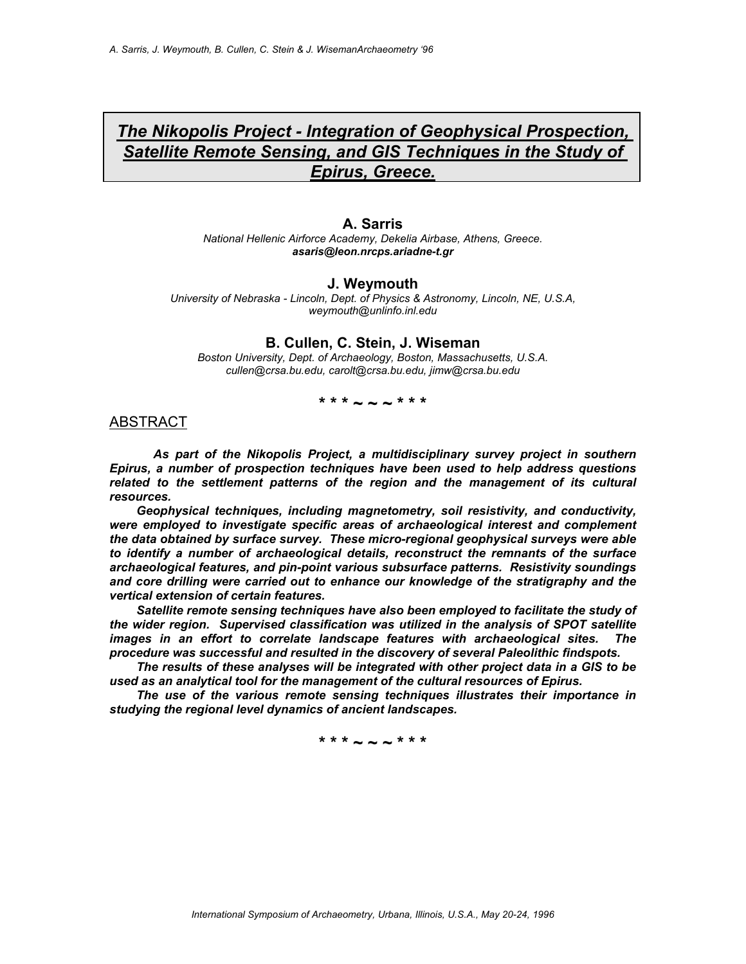# *The Nikopolis Project - Integration of Geophysical Prospection, Satellite Remote Sensing, and GIS Techniques in the Study of Epirus, Greece.*

**A. Sarris** *National Hellenic Airforce Academy, Dekelia Airbase, Athens, Greece. asaris@leon.nrcps.ariadne-t.gr*

#### **J. Weymouth**

*University of Nebraska - Lincoln, Dept. of Physics & Astronomy, Lincoln, NE, U.S.A, weymouth@unlinfo.inl.edu*

#### **B. Cullen, C. Stein, J. Wiseman**

*Boston University, Dept. of Archaeology, Boston, Massachusetts, U.S.A. cullen@crsa.bu.edu, carolt@crsa.bu.edu, jimw@crsa.bu.edu*

### **\* \* \* ~ ~ ~ \* \* \***

#### ABSTRACT

 *As part of the Nikopolis Project, a multidisciplinary survey project in southern Epirus, a number of prospection techniques have been used to help address questions*  related to the settlement patterns of the region and the management of its cultural *resources.* 

 *Geophysical techniques, including magnetometry, soil resistivity, and conductivity, were employed to investigate specific areas of archaeological interest and complement the data obtained by surface survey. These micro-regional geophysical surveys were able to identify a number of archaeological details, reconstruct the remnants of the surface archaeological features, and pin-point various subsurface patterns. Resistivity soundings and core drilling were carried out to enhance our knowledge of the stratigraphy and the vertical extension of certain features.* 

 *Satellite remote sensing techniques have also been employed to facilitate the study of the wider region. Supervised classification was utilized in the analysis of SPOT satellite images in an effort to correlate landscape features with archaeological sites. The procedure was successful and resulted in the discovery of several Paleolithic findspots.* 

 *The results of these analyses will be integrated with other project data in a GIS to be used as an analytical tool for the management of the cultural resources of Epirus.* 

 *The use of the various remote sensing techniques illustrates their importance in studying the regional level dynamics of ancient landscapes.*

**\* \* \* ~ ~ ~ \* \* \***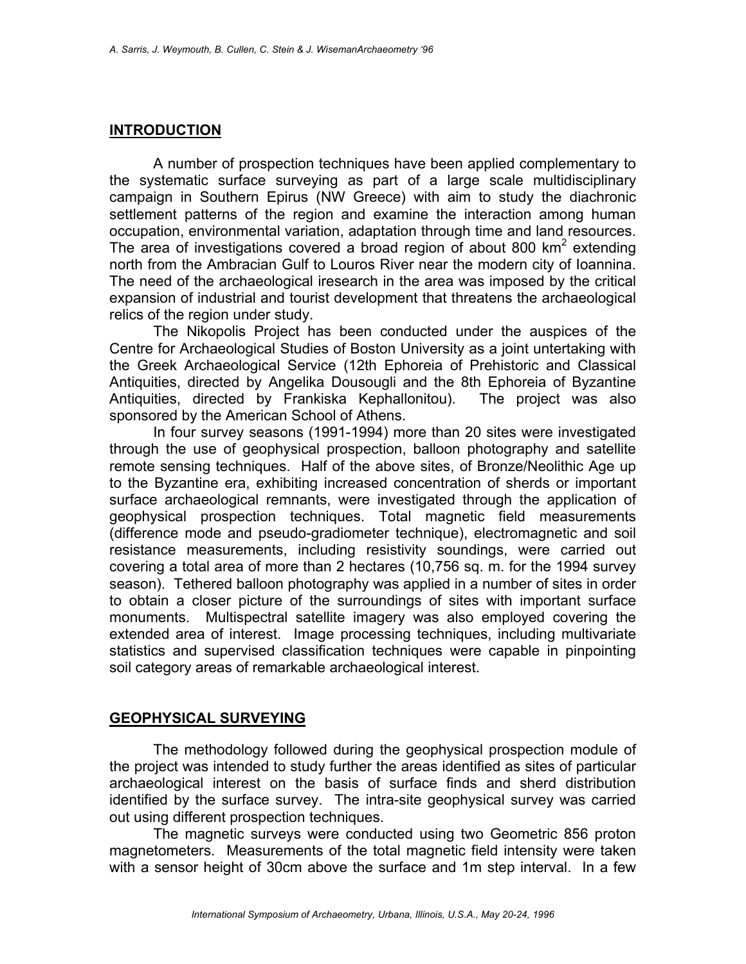## **INTRODUCTION**

 A number of prospection techniques have been applied complementary to the systematic surface surveying as part of a large scale multidisciplinary campaign in Southern Epirus (NW Greece) with aim to study the diachronic settlement patterns of the region and examine the interaction among human occupation, environmental variation, adaptation through time and land resources. The area of investigations covered a broad region of about 800  $km^2$  extending north from the Ambracian Gulf to Louros River near the modern city of Ioannina. The need of the archaeological iresearch in the area was imposed by the critical expansion of industrial and tourist development that threatens the archaeological relics of the region under study.

 The Nikopolis Project has been conducted under the auspices of the Centre for Archaeological Studies of Boston University as a joint untertaking with the Greek Archaeological Service (12th Ephoreia of Prehistoric and Classical Antiquities, directed by Angelika Dousougli and the 8th Ephoreia of Byzantine Antiquities, directed by Frankiska Kephallonitou). The project was also sponsored by the American School of Athens.

 In four survey seasons (1991-1994) more than 20 sites were investigated through the use of geophysical prospection, balloon photography and satellite remote sensing techniques. Half of the above sites, of Bronze/Neolithic Age up to the Byzantine era, exhibiting increased concentration of sherds or important surface archaeological remnants, were investigated through the application of geophysical prospection techniques. Total magnetic field measurements (difference mode and pseudo-gradiometer technique), electromagnetic and soil resistance measurements, including resistivity soundings, were carried out covering a total area of more than 2 hectares (10,756 sq. m. for the 1994 survey season). Tethered balloon photography was applied in a number of sites in order to obtain a closer picture of the surroundings of sites with important surface monuments. Multispectral satellite imagery was also employed covering the extended area of interest. Image processing techniques, including multivariate statistics and supervised classification techniques were capable in pinpointing soil category areas of remarkable archaeological interest.

## **GEOPHYSICAL SURVEYING**

 The methodology followed during the geophysical prospection module of the project was intended to study further the areas identified as sites of particular archaeological interest on the basis of surface finds and sherd distribution identified by the surface survey. The intra-site geophysical survey was carried out using different prospection techniques.

 The magnetic surveys were conducted using two Geometric 856 proton magnetometers. Measurements of the total magnetic field intensity were taken with a sensor height of 30cm above the surface and 1m step interval. In a few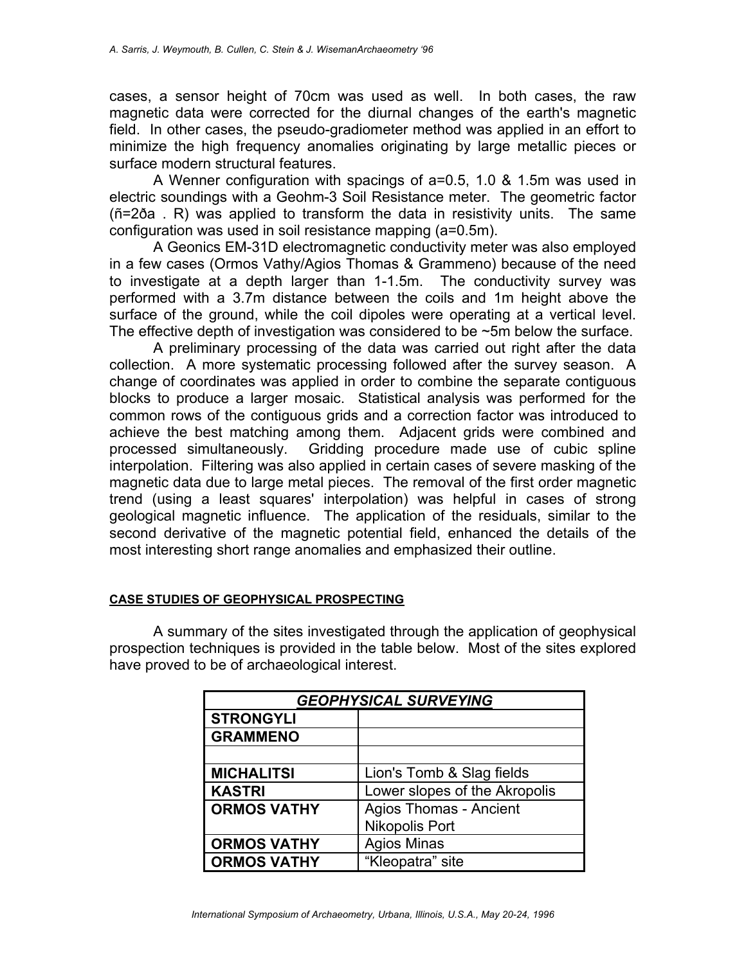cases, a sensor height of 70cm was used as well. In both cases, the raw magnetic data were corrected for the diurnal changes of the earth's magnetic field. In other cases, the pseudo-gradiometer method was applied in an effort to minimize the high frequency anomalies originating by large metallic pieces or surface modern structural features.

 A Wenner configuration with spacings of a=0.5, 1.0 & 1.5m was used in electric soundings with a Geohm-3 Soil Resistance meter. The geometric factor (ñ=2ða . R) was applied to transform the data in resistivity units. The same configuration was used in soil resistance mapping (a=0.5m).

 A Geonics EM-31D electromagnetic conductivity meter was also employed in a few cases (Ormos Vathy/Agios Thomas & Grammeno) because of the need to investigate at a depth larger than 1-1.5m. The conductivity survey was performed with a 3.7m distance between the coils and 1m height above the surface of the ground, while the coil dipoles were operating at a vertical level. The effective depth of investigation was considered to be ~5m below the surface.

 A preliminary processing of the data was carried out right after the data collection. A more systematic processing followed after the survey season. A change of coordinates was applied in order to combine the separate contiguous blocks to produce a larger mosaic. Statistical analysis was performed for the common rows of the contiguous grids and a correction factor was introduced to achieve the best matching among them. Adjacent grids were combined and processed simultaneously. Gridding procedure made use of cubic spline interpolation. Filtering was also applied in certain cases of severe masking of the magnetic data due to large metal pieces. The removal of the first order magnetic trend (using a least squares' interpolation) was helpful in cases of strong geological magnetic influence. The application of the residuals, similar to the second derivative of the magnetic potential field, enhanced the details of the most interesting short range anomalies and emphasized their outline.

### **CASE STUDIES OF GEOPHYSICAL PROSPECTING**

 A summary of the sites investigated through the application of geophysical prospection techniques is provided in the table below. Most of the sites explored have proved to be of archaeological interest.

| <b>GEOPHYSICAL SURVEYING</b> |                               |
|------------------------------|-------------------------------|
| <b>STRONGYLI</b>             |                               |
| <b>GRAMMENO</b>              |                               |
|                              |                               |
| <b>MICHALITSI</b>            | Lion's Tomb & Slag fields     |
| <b>KASTRI</b>                | Lower slopes of the Akropolis |
| <b>ORMOS VATHY</b>           | <b>Agios Thomas - Ancient</b> |
|                              | <b>Nikopolis Port</b>         |
| <b>ORMOS VATHY</b>           | <b>Agios Minas</b>            |
| <b>ORMOS VATHY</b>           | "Kleopatra" site              |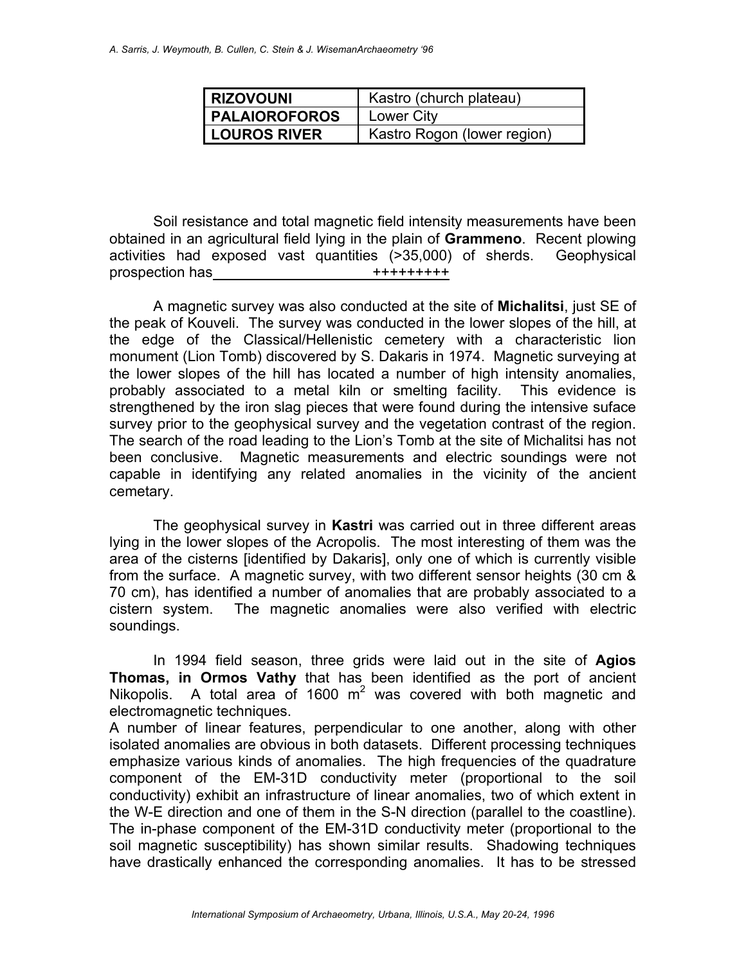| I RIZOVOUNI          | Kastro (church plateau)     |
|----------------------|-----------------------------|
| <b>PALAIOROFOROS</b> | Lower City                  |
| <b>LOUROS RIVER</b>  | Kastro Rogon (lower region) |

 Soil resistance and total magnetic field intensity measurements have been obtained in an agricultural field lying in the plain of **Grammeno**. Recent plowing activities had exposed vast quantities (>35,000) of sherds. Geophysical prospection has  $++++++++$ 

 A magnetic survey was also conducted at the site of **Michalitsi**, just SE of the peak of Kouveli. The survey was conducted in the lower slopes of the hill, at the edge of the Classical/Hellenistic cemetery with a characteristic lion monument (Lion Tomb) discovered by S. Dakaris in 1974. Magnetic surveying at the lower slopes of the hill has located a number of high intensity anomalies, probably associated to a metal kiln or smelting facility. This evidence is strengthened by the iron slag pieces that were found during the intensive suface survey prior to the geophysical survey and the vegetation contrast of the region. The search of the road leading to the Lion's Tomb at the site of Michalitsi has not been conclusive. Magnetic measurements and electric soundings were not capable in identifying any related anomalies in the vicinity of the ancient cemetary.

 The geophysical survey in **Kastri** was carried out in three different areas lying in the lower slopes of the Acropolis. The most interesting of them was the area of the cisterns [identified by Dakaris], only one of which is currently visible from the surface. A magnetic survey, with two different sensor heights (30 cm & 70 cm), has identified a number of anomalies that are probably associated to a cistern system. The magnetic anomalies were also verified with electric soundings.

 In 1994 field season, three grids were laid out in the site of **Agios Thomas, in Ormos Vathy** that has been identified as the port of ancient Nikopolis. A total area of 1600  $m^2$  was covered with both magnetic and electromagnetic techniques.

A number of linear features, perpendicular to one another, along with other isolated anomalies are obvious in both datasets. Different processing techniques emphasize various kinds of anomalies. The high frequencies of the quadrature component of the EM-31D conductivity meter (proportional to the soil conductivity) exhibit an infrastructure of linear anomalies, two of which extent in the W-E direction and one of them in the S-N direction (parallel to the coastline). The in-phase component of the EM-31D conductivity meter (proportional to the soil magnetic susceptibility) has shown similar results. Shadowing techniques have drastically enhanced the corresponding anomalies. It has to be stressed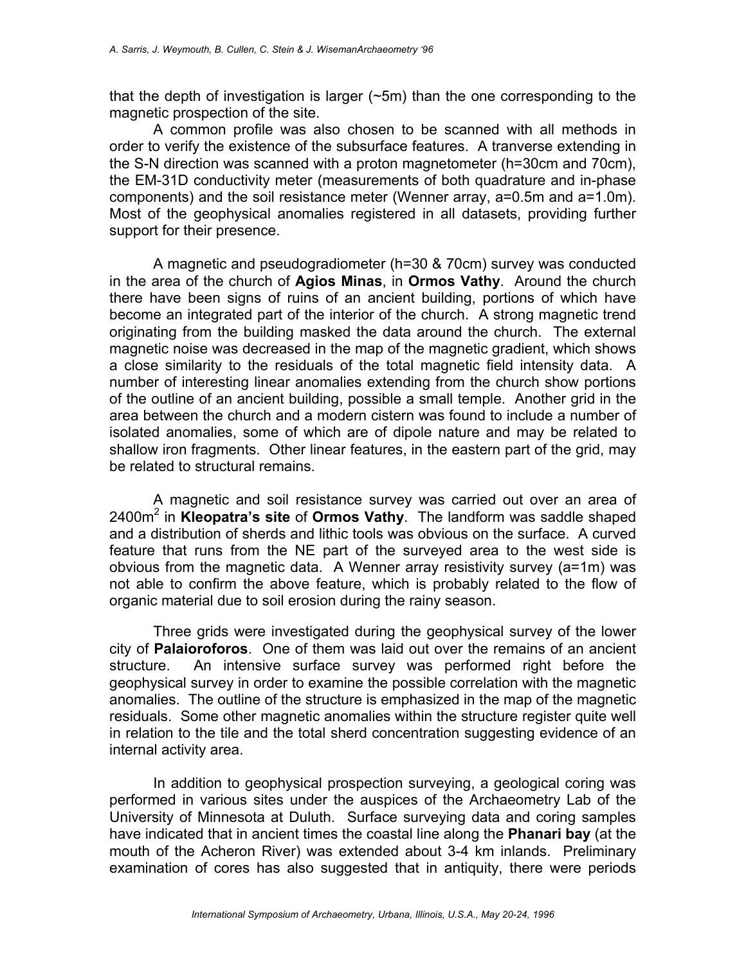that the depth of investigation is larger (~5m) than the one corresponding to the magnetic prospection of the site.

 A common profile was also chosen to be scanned with all methods in order to verify the existence of the subsurface features. A tranverse extending in the S-N direction was scanned with a proton magnetometer (h=30cm and 70cm), the EM-31D conductivity meter (measurements of both quadrature and in-phase components) and the soil resistance meter (Wenner array, a=0.5m and a=1.0m). Most of the geophysical anomalies registered in all datasets, providing further support for their presence.

 A magnetic and pseudogradiometer (h=30 & 70cm) survey was conducted in the area of the church of **Agios Minas**, in **Ormos Vathy**. Around the church there have been signs of ruins of an ancient building, portions of which have become an integrated part of the interior of the church. A strong magnetic trend originating from the building masked the data around the church. The external magnetic noise was decreased in the map of the magnetic gradient, which shows a close similarity to the residuals of the total magnetic field intensity data. A number of interesting linear anomalies extending from the church show portions of the outline of an ancient building, possible a small temple. Another grid in the area between the church and a modern cistern was found to include a number of isolated anomalies, some of which are of dipole nature and may be related to shallow iron fragments. Other linear features, in the eastern part of the grid, may be related to structural remains.

 A magnetic and soil resistance survey was carried out over an area of 2400m<sup>2</sup> in **Kleopatra's site** of **Ormos Vathy**. The landform was saddle shaped and a distribution of sherds and lithic tools was obvious on the surface. A curved feature that runs from the NE part of the surveyed area to the west side is obvious from the magnetic data. A Wenner array resistivity survey (a=1m) was not able to confirm the above feature, which is probably related to the flow of organic material due to soil erosion during the rainy season.

 Three grids were investigated during the geophysical survey of the lower city of **Palaioroforos**. One of them was laid out over the remains of an ancient structure. An intensive surface survey was performed right before the geophysical survey in order to examine the possible correlation with the magnetic anomalies. The outline of the structure is emphasized in the map of the magnetic residuals. Some other magnetic anomalies within the structure register quite well in relation to the tile and the total sherd concentration suggesting evidence of an internal activity area.

 In addition to geophysical prospection surveying, a geological coring was performed in various sites under the auspices of the Archaeometry Lab of the University of Minnesota at Duluth. Surface surveying data and coring samples have indicated that in ancient times the coastal line along the **Phanari bay** (at the mouth of the Acheron River) was extended about 3-4 km inlands. Preliminary examination of cores has also suggested that in antiquity, there were periods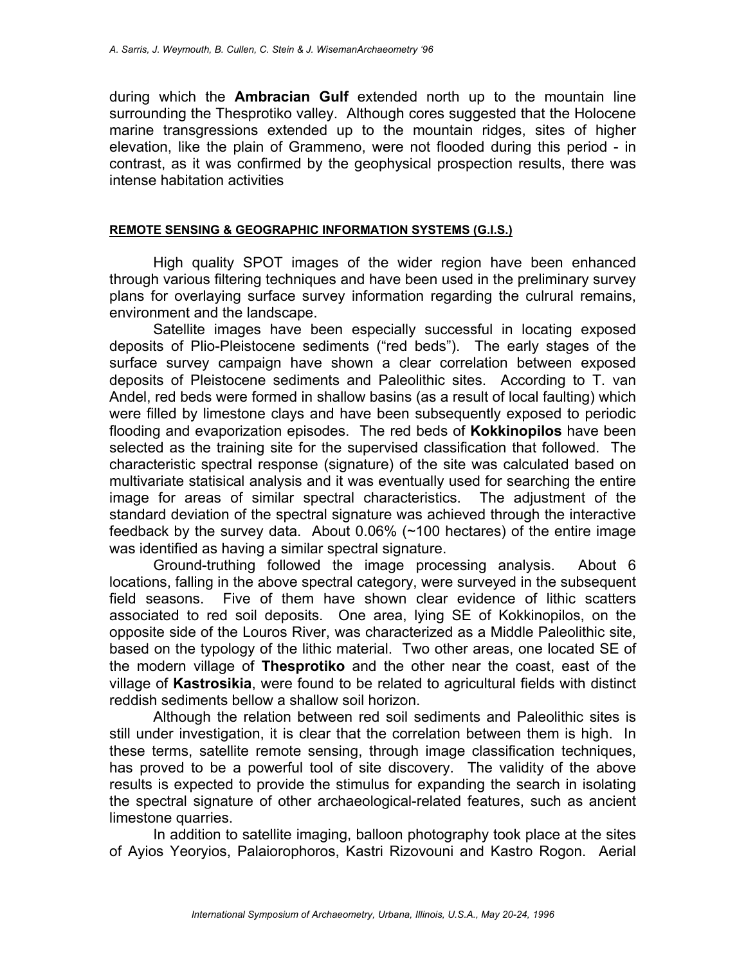during which the **Ambracian Gulf** extended north up to the mountain line surrounding the Thesprotiko valley. Although cores suggested that the Holocene marine transgressions extended up to the mountain ridges, sites of higher elevation, like the plain of Grammeno, were not flooded during this period - in contrast, as it was confirmed by the geophysical prospection results, there was intense habitation activities

### **REMOTE SENSING & GEOGRAPHIC INFORMATION SYSTEMS (G.I.S.)**

 High quality SPOT images of the wider region have been enhanced through various filtering techniques and have been used in the preliminary survey plans for overlaying surface survey information regarding the culrural remains, environment and the landscape.

 Satellite images have been especially successful in locating exposed deposits of Plio-Pleistocene sediments ("red beds"). The early stages of the surface survey campaign have shown a clear correlation between exposed deposits of Pleistocene sediments and Paleolithic sites. According to T. van Andel, red beds were formed in shallow basins (as a result of local faulting) which were filled by limestone clays and have been subsequently exposed to periodic flooding and evaporization episodes. The red beds of **Kokkinopilos** have been selected as the training site for the supervised classification that followed. The characteristic spectral response (signature) of the site was calculated based on multivariate statisical analysis and it was eventually used for searching the entire image for areas of similar spectral characteristics. The adjustment of the standard deviation of the spectral signature was achieved through the interactive feedback by the survey data. About 0.06% (~100 hectares) of the entire image was identified as having a similar spectral signature.

 Ground-truthing followed the image processing analysis. About 6 locations, falling in the above spectral category, were surveyed in the subsequent field seasons. Five of them have shown clear evidence of lithic scatters associated to red soil deposits. One area, lying SE of Kokkinopilos, on the opposite side of the Louros River, was characterized as a Middle Paleolithic site, based on the typology of the lithic material. Two other areas, one located SE of the modern village of **Thesprotiko** and the other near the coast, east of the village of **Kastrosikia**, were found to be related to agricultural fields with distinct reddish sediments bellow a shallow soil horizon.

 Although the relation between red soil sediments and Paleolithic sites is still under investigation, it is clear that the correlation between them is high. In these terms, satellite remote sensing, through image classification techniques, has proved to be a powerful tool of site discovery. The validity of the above results is expected to provide the stimulus for expanding the search in isolating the spectral signature of other archaeological-related features, such as ancient limestone quarries.

 In addition to satellite imaging, balloon photography took place at the sites of Ayios Yeoryios, Palaiorophoros, Kastri Rizovouni and Kastro Rogon. Aerial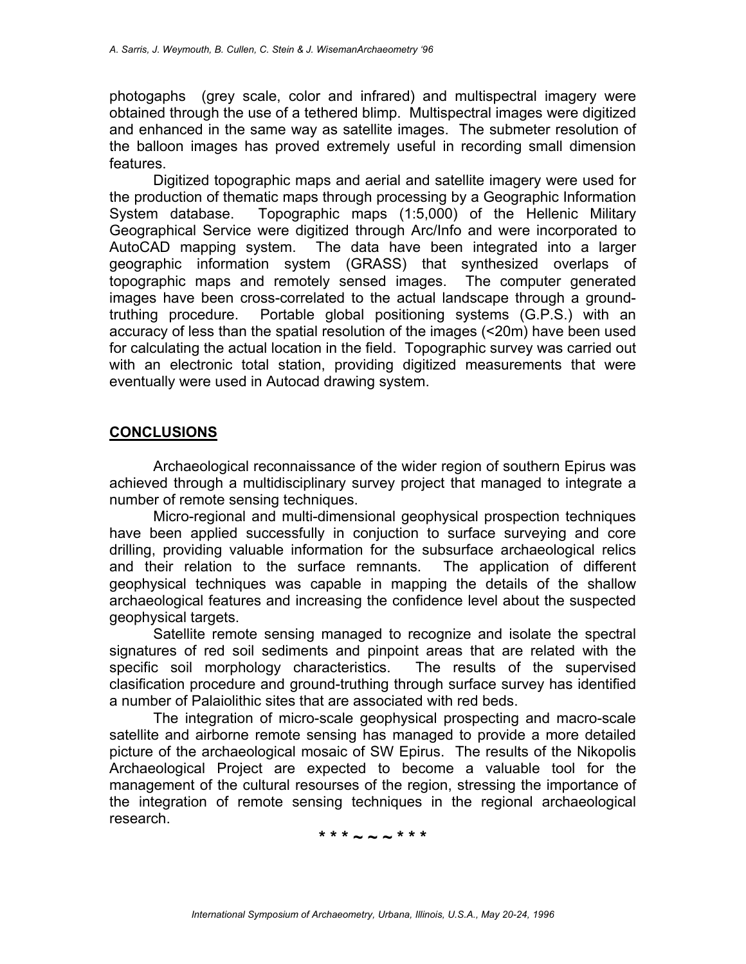photogaphs (grey scale, color and infrared) and multispectral imagery were obtained through the use of a tethered blimp. Multispectral images were digitized and enhanced in the same way as satellite images. The submeter resolution of the balloon images has proved extremely useful in recording small dimension features.

 Digitized topographic maps and aerial and satellite imagery were used for the production of thematic maps through processing by a Geographic Information System database. Topographic maps (1:5,000) of the Hellenic Military Geographical Service were digitized through Arc/Info and were incorporated to AutoCAD mapping system. The data have been integrated into a larger geographic information system (GRASS) that synthesized overlaps of topographic maps and remotely sensed images. The computer generated images have been cross-correlated to the actual landscape through a groundtruthing procedure. Portable global positioning systems (G.P.S.) with an accuracy of less than the spatial resolution of the images (<20m) have been used for calculating the actual location in the field. Topographic survey was carried out with an electronic total station, providing digitized measurements that were eventually were used in Autocad drawing system.

## **CONCLUSIONS**

 Archaeological reconnaissance of the wider region of southern Epirus was achieved through a multidisciplinary survey project that managed to integrate a number of remote sensing techniques.

 Micro-regional and multi-dimensional geophysical prospection techniques have been applied successfully in conjuction to surface surveying and core drilling, providing valuable information for the subsurface archaeological relics and their relation to the surface remnants. The application of different geophysical techniques was capable in mapping the details of the shallow archaeological features and increasing the confidence level about the suspected geophysical targets.

 Satellite remote sensing managed to recognize and isolate the spectral signatures of red soil sediments and pinpoint areas that are related with the specific soil morphology characteristics. The results of the supervised clasification procedure and ground-truthing through surface survey has identified a number of Palaiolithic sites that are associated with red beds.

 The integration of micro-scale geophysical prospecting and macro-scale satellite and airborne remote sensing has managed to provide a more detailed picture of the archaeological mosaic of SW Epirus. The results of the Nikopolis Archaeological Project are expected to become a valuable tool for the management of the cultural resourses of the region, stressing the importance of the integration of remote sensing techniques in the regional archaeological research.

**\* \* \* ~ ~ ~ \* \* \***